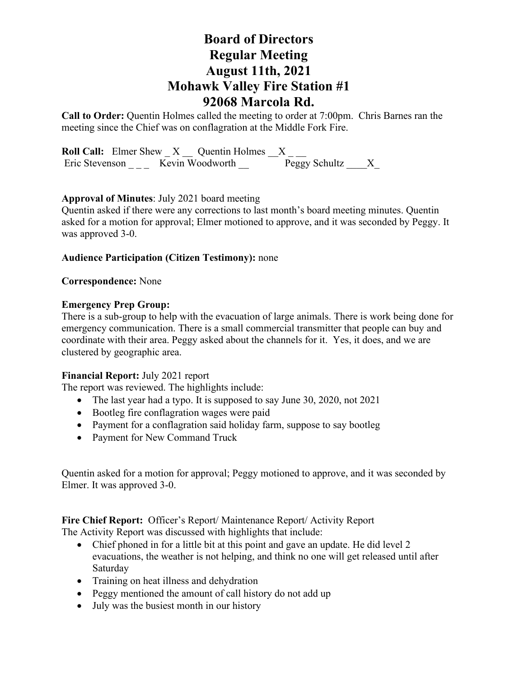# **Board of Directors Regular Meeting August 11th, 2021 Mohawk Valley Fire Station #1 92068 Marcola Rd.**

**Call to Order:** Quentin Holmes called the meeting to order at 7:00pm. Chris Barnes ran the meeting since the Chief was on conflagration at the Middle Fork Fire.

**Roll Call:** Elmer Shew  $X$  Quentin Holmes  $X$ Eric Stevenson \_\_\_\_ Kevin Woodworth \_\_\_\_ Peggy Schultz \_\_\_\_X\_

## **Approval of Minutes**: July 2021 board meeting

Quentin asked if there were any corrections to last month's board meeting minutes. Quentin asked for a motion for approval; Elmer motioned to approve, and it was seconded by Peggy. It was approved 3-0.

## **Audience Participation (Citizen Testimony):** none

**Correspondence:** None

#### **Emergency Prep Group:**

There is a sub-group to help with the evacuation of large animals. There is work being done for emergency communication. There is a small commercial transmitter that people can buy and coordinate with their area. Peggy asked about the channels for it. Yes, it does, and we are clustered by geographic area.

## **Financial Report:** July 2021 report

The report was reviewed. The highlights include:

- The last year had a typo. It is supposed to say June 30, 2020, not 2021
- Bootleg fire conflagration wages were paid
- Payment for a conflagration said holiday farm, suppose to say bootleg
- Payment for New Command Truck

Quentin asked for a motion for approval; Peggy motioned to approve, and it was seconded by Elmer. It was approved 3-0.

**Fire Chief Report:** Officer's Report/ Maintenance Report/ Activity Report

The Activity Report was discussed with highlights that include:

- Chief phoned in for a little bit at this point and gave an update. He did level 2 evacuations, the weather is not helping, and think no one will get released until after Saturday
- Training on heat illness and dehydration
- Peggy mentioned the amount of call history do not add up
- July was the busiest month in our history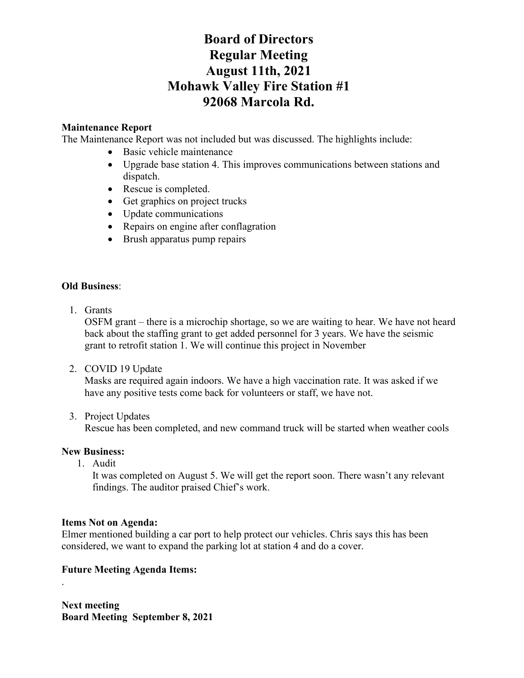# **Board of Directors Regular Meeting August 11th, 2021 Mohawk Valley Fire Station #1 92068 Marcola Rd.**

# **Maintenance Report**

The Maintenance Report was not included but was discussed. The highlights include:

- Basic vehicle maintenance
- Upgrade base station 4. This improves communications between stations and dispatch.
- Rescue is completed.
- Get graphics on project trucks
- Update communications
- Repairs on engine after conflagration
- Brush apparatus pump repairs

## **Old Business**:

1. Grants

OSFM grant – there is a microchip shortage, so we are waiting to hear. We have not heard back about the staffing grant to get added personnel for 3 years. We have the seismic grant to retrofit station 1. We will continue this project in November

2. COVID 19 Update

Masks are required again indoors. We have a high vaccination rate. It was asked if we have any positive tests come back for volunteers or staff, we have not.

3. Project Updates

Rescue has been completed, and new command truck will be started when weather cools

# **New Business:**

.

1. Audit

It was completed on August 5. We will get the report soon. There wasn't any relevant findings. The auditor praised Chief's work.

## **Items Not on Agenda:**

Elmer mentioned building a car port to help protect our vehicles. Chris says this has been considered, we want to expand the parking lot at station 4 and do a cover.

# **Future Meeting Agenda Items:**

**Next meeting Board Meeting September 8, 2021**